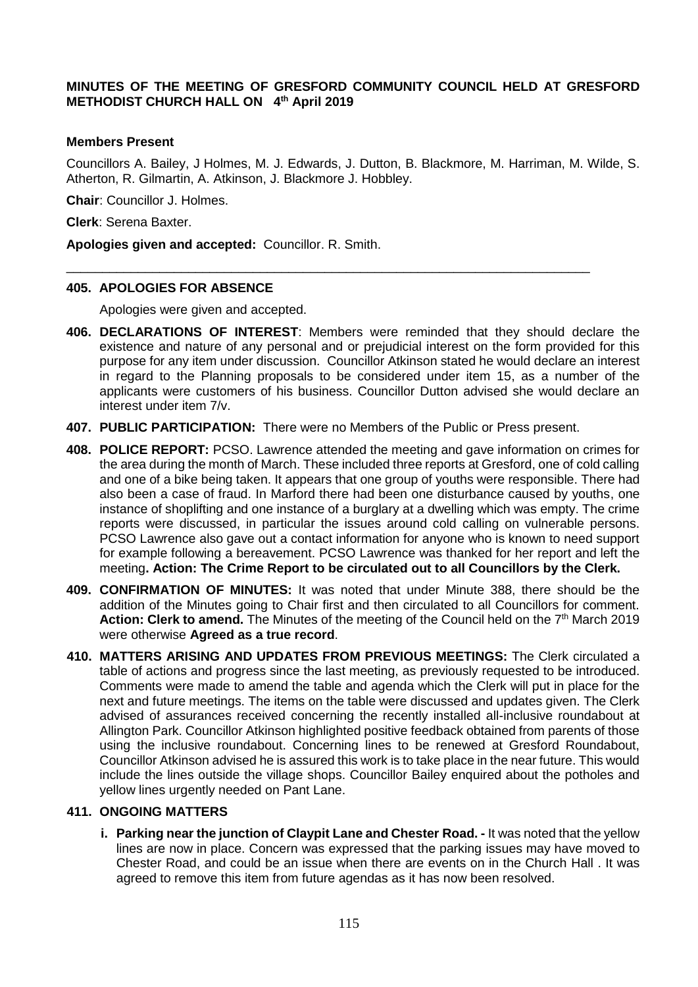# **MINUTES OF THE MEETING OF GRESFORD COMMUNITY COUNCIL HELD AT GRESFORD METHODIST CHURCH HALL ON 4 th April 2019**

#### **Members Present**

Councillors A. Bailey, J Holmes, M. J. Edwards, J. Dutton, B. Blackmore, M. Harriman, M. Wilde, S. Atherton, R. Gilmartin, A. Atkinson, J. Blackmore J. Hobbley.

**Chair**: Councillor J. Holmes.

**Clerk**: Serena Baxter.

**Apologies given and accepted:** Councillor. R. Smith.

#### **405. APOLOGIES FOR ABSENCE**

Apologies were given and accepted.

- **406. DECLARATIONS OF INTEREST**: Members were reminded that they should declare the existence and nature of any personal and or prejudicial interest on the form provided for this purpose for any item under discussion. Councillor Atkinson stated he would declare an interest in regard to the Planning proposals to be considered under item 15, as a number of the applicants were customers of his business. Councillor Dutton advised she would declare an interest under item 7/v.
- **407. PUBLIC PARTICIPATION:** There were no Members of the Public or Press present.

\_\_\_\_\_\_\_\_\_\_\_\_\_\_\_\_\_\_\_\_\_\_\_\_\_\_\_\_\_\_\_\_\_\_\_\_\_\_\_\_\_\_\_\_\_\_\_\_\_\_\_\_\_\_\_\_\_\_\_\_\_\_\_\_\_\_\_\_\_\_\_\_\_

- **408. POLICE REPORT:** PCSO. Lawrence attended the meeting and gave information on crimes for the area during the month of March. These included three reports at Gresford, one of cold calling and one of a bike being taken. It appears that one group of youths were responsible. There had also been a case of fraud. In Marford there had been one disturbance caused by youths, one instance of shoplifting and one instance of a burglary at a dwelling which was empty. The crime reports were discussed, in particular the issues around cold calling on vulnerable persons. PCSO Lawrence also gave out a contact information for anyone who is known to need support for example following a bereavement. PCSO Lawrence was thanked for her report and left the meeting**. Action: The Crime Report to be circulated out to all Councillors by the Clerk.**
- **409. CONFIRMATION OF MINUTES:** It was noted that under Minute 388, there should be the addition of the Minutes going to Chair first and then circulated to all Councillors for comment. Action: Clerk to amend. The Minutes of the meeting of the Council held on the 7<sup>th</sup> March 2019 were otherwise **Agreed as a true record**.
- **410. MATTERS ARISING AND UPDATES FROM PREVIOUS MEETINGS:** The Clerk circulated a table of actions and progress since the last meeting, as previously requested to be introduced. Comments were made to amend the table and agenda which the Clerk will put in place for the next and future meetings. The items on the table were discussed and updates given. The Clerk advised of assurances received concerning the recently installed all-inclusive roundabout at Allington Park. Councillor Atkinson highlighted positive feedback obtained from parents of those using the inclusive roundabout. Concerning lines to be renewed at Gresford Roundabout, Councillor Atkinson advised he is assured this work is to take place in the near future. This would include the lines outside the village shops. Councillor Bailey enquired about the potholes and yellow lines urgently needed on Pant Lane.

# **411. ONGOING MATTERS**

**i. Parking near the junction of Claypit Lane and Chester Road. -** It was noted that the yellow lines are now in place. Concern was expressed that the parking issues may have moved to Chester Road, and could be an issue when there are events on in the Church Hall . It was agreed to remove this item from future agendas as it has now been resolved.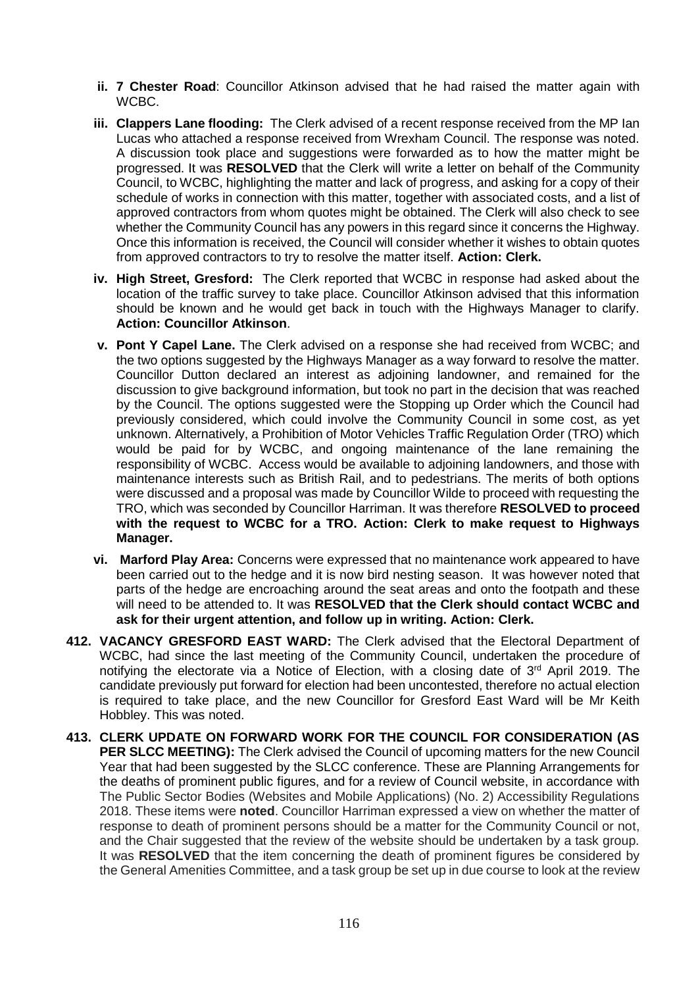- **ii. 7 Chester Road**: Councillor Atkinson advised that he had raised the matter again with WCBC.
- **iii. Clappers Lane flooding:** The Clerk advised of a recent response received from the MP Ian Lucas who attached a response received from Wrexham Council. The response was noted. A discussion took place and suggestions were forwarded as to how the matter might be progressed. It was **RESOLVED** that the Clerk will write a letter on behalf of the Community Council, to WCBC, highlighting the matter and lack of progress, and asking for a copy of their schedule of works in connection with this matter, together with associated costs, and a list of approved contractors from whom quotes might be obtained. The Clerk will also check to see whether the Community Council has any powers in this regard since it concerns the Highway. Once this information is received, the Council will consider whether it wishes to obtain quotes from approved contractors to try to resolve the matter itself. **Action: Clerk.**
- **iv. High Street, Gresford:** The Clerk reported that WCBC in response had asked about the location of the traffic survey to take place. Councillor Atkinson advised that this information should be known and he would get back in touch with the Highways Manager to clarify. **Action: Councillor Atkinson**.
- **v. Pont Y Capel Lane.** The Clerk advised on a response she had received from WCBC; and the two options suggested by the Highways Manager as a way forward to resolve the matter. Councillor Dutton declared an interest as adjoining landowner, and remained for the discussion to give background information, but took no part in the decision that was reached by the Council. The options suggested were the Stopping up Order which the Council had previously considered, which could involve the Community Council in some cost, as yet unknown. Alternatively, a Prohibition of Motor Vehicles Traffic Regulation Order (TRO) which would be paid for by WCBC, and ongoing maintenance of the lane remaining the responsibility of WCBC. Access would be available to adjoining landowners, and those with maintenance interests such as British Rail, and to pedestrians. The merits of both options were discussed and a proposal was made by Councillor Wilde to proceed with requesting the TRO, which was seconded by Councillor Harriman. It was therefore **RESOLVED to proceed with the request to WCBC for a TRO. Action: Clerk to make request to Highways Manager.**
- **vi. Marford Play Area:** Concerns were expressed that no maintenance work appeared to have been carried out to the hedge and it is now bird nesting season. It was however noted that parts of the hedge are encroaching around the seat areas and onto the footpath and these will need to be attended to. It was **RESOLVED that the Clerk should contact WCBC and ask for their urgent attention, and follow up in writing. Action: Clerk.**
- **412. VACANCY GRESFORD EAST WARD:** The Clerk advised that the Electoral Department of WCBC, had since the last meeting of the Community Council, undertaken the procedure of notifying the electorate via a Notice of Election, with a closing date of 3<sup>rd</sup> April 2019. The candidate previously put forward for election had been uncontested, therefore no actual election is required to take place, and the new Councillor for Gresford East Ward will be Mr Keith Hobbley. This was noted.
- **413. CLERK UPDATE ON FORWARD WORK FOR THE COUNCIL FOR CONSIDERATION (AS PER SLCC MEETING):** The Clerk advised the Council of upcoming matters for the new Council Year that had been suggested by the SLCC conference. These are Planning Arrangements for the deaths of prominent public figures, and for a review of Council website, in accordance with The Public Sector Bodies (Websites and Mobile Applications) (No. 2) Accessibility Regulations 2018. These items were **noted**. Councillor Harriman expressed a view on whether the matter of response to death of prominent persons should be a matter for the Community Council or not, and the Chair suggested that the review of the website should be undertaken by a task group. It was **RESOLVED** that the item concerning the death of prominent figures be considered by the General Amenities Committee, and a task group be set up in due course to look at the review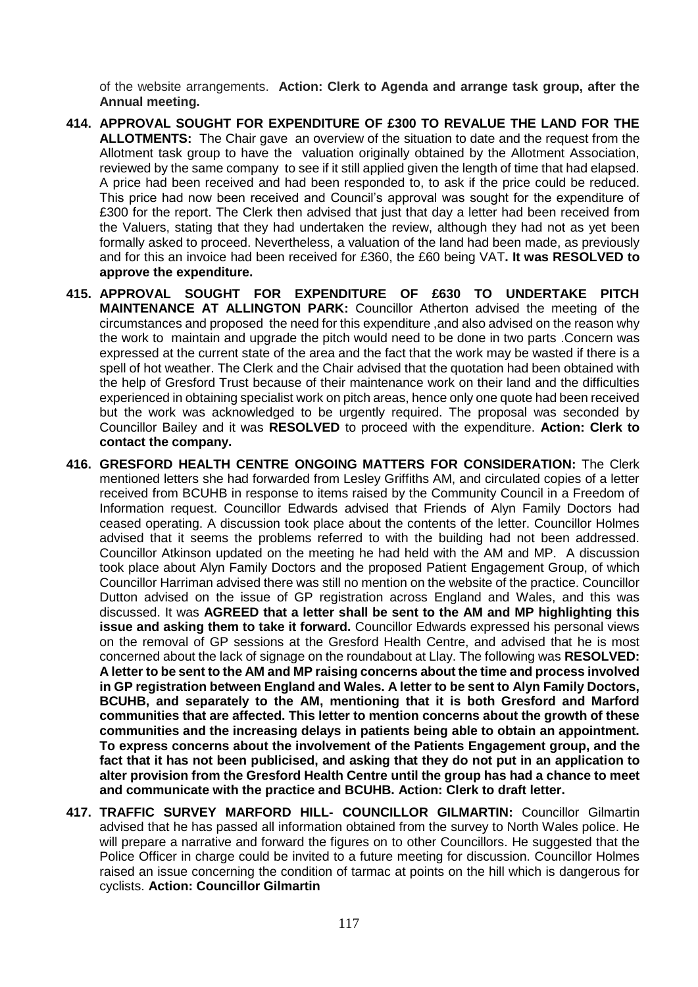of the website arrangements. **Action: Clerk to Agenda and arrange task group, after the Annual meeting.** 

- **414. APPROVAL SOUGHT FOR EXPENDITURE OF £300 TO REVALUE THE LAND FOR THE ALLOTMENTS:** The Chair gave an overview of the situation to date and the request from the Allotment task group to have the valuation originally obtained by the Allotment Association, reviewed by the same company to see if it still applied given the length of time that had elapsed. A price had been received and had been responded to, to ask if the price could be reduced. This price had now been received and Council's approval was sought for the expenditure of £300 for the report. The Clerk then advised that just that day a letter had been received from the Valuers, stating that they had undertaken the review, although they had not as yet been formally asked to proceed. Nevertheless, a valuation of the land had been made, as previously and for this an invoice had been received for £360, the £60 being VAT**. It was RESOLVED to approve the expenditure.**
- **415. APPROVAL SOUGHT FOR EXPENDITURE OF £630 TO UNDERTAKE PITCH MAINTENANCE AT ALLINGTON PARK:** Councillor Atherton advised the meeting of the circumstances and proposed the need for this expenditure ,and also advised on the reason why the work to maintain and upgrade the pitch would need to be done in two parts .Concern was expressed at the current state of the area and the fact that the work may be wasted if there is a spell of hot weather. The Clerk and the Chair advised that the quotation had been obtained with the help of Gresford Trust because of their maintenance work on their land and the difficulties experienced in obtaining specialist work on pitch areas, hence only one quote had been received but the work was acknowledged to be urgently required. The proposal was seconded by Councillor Bailey and it was **RESOLVED** to proceed with the expenditure. **Action: Clerk to contact the company.**
- **416. GRESFORD HEALTH CENTRE ONGOING MATTERS FOR CONSIDERATION:** The Clerk mentioned letters she had forwarded from Lesley Griffiths AM, and circulated copies of a letter received from BCUHB in response to items raised by the Community Council in a Freedom of Information request. Councillor Edwards advised that Friends of Alyn Family Doctors had ceased operating. A discussion took place about the contents of the letter. Councillor Holmes advised that it seems the problems referred to with the building had not been addressed. Councillor Atkinson updated on the meeting he had held with the AM and MP. A discussion took place about Alyn Family Doctors and the proposed Patient Engagement Group, of which Councillor Harriman advised there was still no mention on the website of the practice. Councillor Dutton advised on the issue of GP registration across England and Wales, and this was discussed. It was **AGREED that a letter shall be sent to the AM and MP highlighting this issue and asking them to take it forward.** Councillor Edwards expressed his personal views on the removal of GP sessions at the Gresford Health Centre, and advised that he is most concerned about the lack of signage on the roundabout at Llay. The following was **RESOLVED: A letter to be sent to the AM and MP raising concerns about the time and process involved in GP registration between England and Wales. A letter to be sent to Alyn Family Doctors, BCUHB, and separately to the AM, mentioning that it is both Gresford and Marford communities that are affected. This letter to mention concerns about the growth of these communities and the increasing delays in patients being able to obtain an appointment. To express concerns about the involvement of the Patients Engagement group, and the fact that it has not been publicised, and asking that they do not put in an application to alter provision from the Gresford Health Centre until the group has had a chance to meet and communicate with the practice and BCUHB. Action: Clerk to draft letter.**
- **417. TRAFFIC SURVEY MARFORD HILL- COUNCILLOR GILMARTIN:** Councillor Gilmartin advised that he has passed all information obtained from the survey to North Wales police. He will prepare a narrative and forward the figures on to other Councillors. He suggested that the Police Officer in charge could be invited to a future meeting for discussion. Councillor Holmes raised an issue concerning the condition of tarmac at points on the hill which is dangerous for cyclists. **Action: Councillor Gilmartin**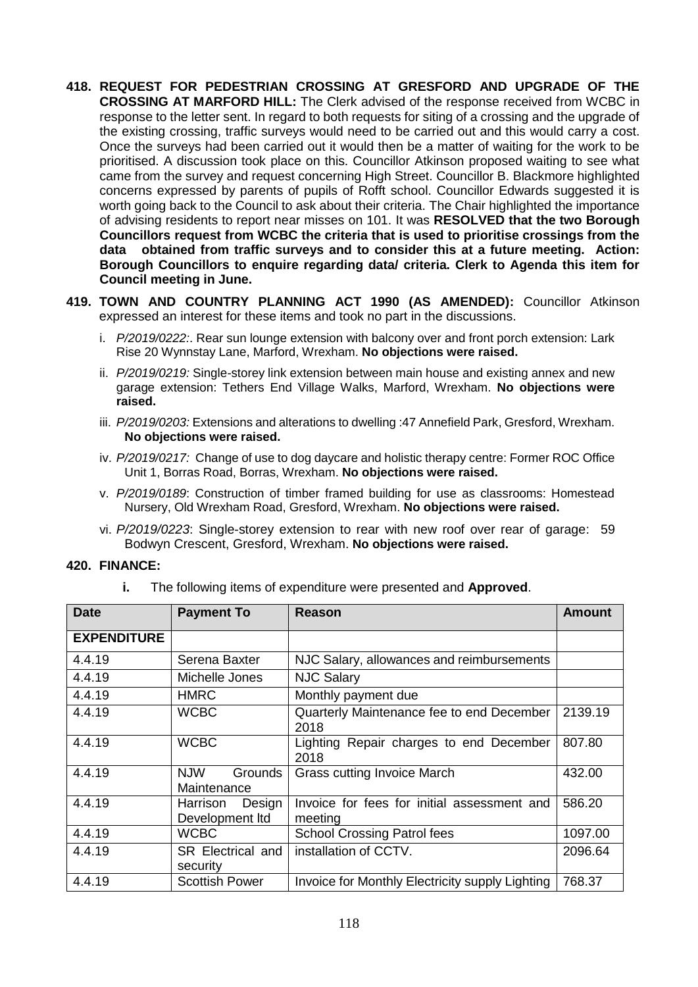- **418. REQUEST FOR PEDESTRIAN CROSSING AT GRESFORD AND UPGRADE OF THE CROSSING AT MARFORD HILL:** The Clerk advised of the response received from WCBC in response to the letter sent. In regard to both requests for siting of a crossing and the upgrade of the existing crossing, traffic surveys would need to be carried out and this would carry a cost. Once the surveys had been carried out it would then be a matter of waiting for the work to be prioritised. A discussion took place on this. Councillor Atkinson proposed waiting to see what came from the survey and request concerning High Street. Councillor B. Blackmore highlighted concerns expressed by parents of pupils of Rofft school. Councillor Edwards suggested it is worth going back to the Council to ask about their criteria. The Chair highlighted the importance of advising residents to report near misses on 101. It was **RESOLVED that the two Borough Councillors request from WCBC the criteria that is used to prioritise crossings from the data obtained from traffic surveys and to consider this at a future meeting. Action: Borough Councillors to enquire regarding data/ criteria. Clerk to Agenda this item for Council meeting in June.**
- **419. TOWN AND COUNTRY PLANNING ACT 1990 (AS AMENDED):** Councillor Atkinson expressed an interest for these items and took no part in the discussions.
	- i. *P/2019/0222:*. Rear sun lounge extension with balcony over and front porch extension: Lark Rise 20 Wynnstay Lane, Marford, Wrexham. **No objections were raised.**
	- ii. *P/2019/0219:* Single-storey link extension between main house and existing annex and new garage extension: Tethers End Village Walks, Marford, Wrexham. **No objections were raised.**
	- iii. *P/2019/0203:* Extensions and alterations to dwelling :47 Annefield Park, Gresford, Wrexham. **No objections were raised.**
	- iv. *P/2019/0217:* Change of use to dog daycare and holistic therapy centre: Former ROC Office Unit 1, Borras Road, Borras, Wrexham. **No objections were raised.**
	- v. *P/2019/0189*: Construction of timber framed building for use as classrooms: Homestead Nursery, Old Wrexham Road, Gresford, Wrexham. **No objections were raised.**
	- vi. *P/2019/0223*: Single-storey extension to rear with new roof over rear of garage: 59 Bodwyn Crescent, Gresford, Wrexham. **No objections were raised.**

#### **420. FINANCE:**

**i.** The following items of expenditure were presented and **Approved**.

| <b>Date</b>        | <b>Payment To</b>                           | <b>Reason</b>                                          | Amount  |
|--------------------|---------------------------------------------|--------------------------------------------------------|---------|
| <b>EXPENDITURE</b> |                                             |                                                        |         |
| 4.4.19             | Serena Baxter                               | NJC Salary, allowances and reimbursements              |         |
| 4.4.19             | Michelle Jones                              | <b>NJC Salary</b>                                      |         |
| 4.4.19             | <b>HMRC</b>                                 | Monthly payment due                                    |         |
| 4.4.19             | <b>WCBC</b>                                 | Quarterly Maintenance fee to end December<br>2018      | 2139.19 |
| 4.4.19             | <b>WCBC</b>                                 | Lighting Repair charges to end December<br>2018        | 807.80  |
| 4.4.19             | <b>NJW</b><br><b>Grounds</b><br>Maintenance | <b>Grass cutting Invoice March</b>                     | 432.00  |
| 4.4.19             | Design<br>Harrison<br>Development Itd       | Invoice for fees for initial assessment and<br>meeting | 586.20  |
| 4.4.19             | <b>WCBC</b>                                 | <b>School Crossing Patrol fees</b>                     | 1097.00 |
| 4.4.19             | SR Electrical and<br>security               | installation of CCTV.                                  | 2096.64 |
| 4.4.19             | <b>Scottish Power</b>                       | Invoice for Monthly Electricity supply Lighting        | 768.37  |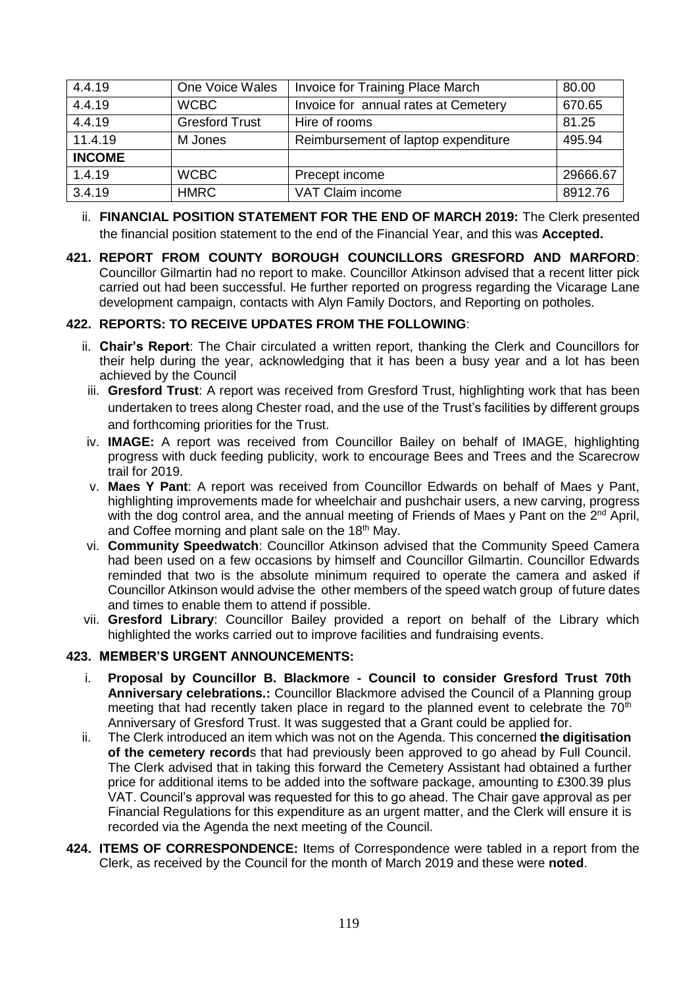| 4.4.19        | One Voice Wales       | Invoice for Training Place March     | 80.00    |
|---------------|-----------------------|--------------------------------------|----------|
| 4.4.19        | <b>WCBC</b>           | Invoice for annual rates at Cemetery | 670.65   |
| 4.4.19        | <b>Gresford Trust</b> | Hire of rooms                        | 81.25    |
| 11.4.19       | M Jones               | Reimbursement of laptop expenditure  | 495.94   |
| <b>INCOME</b> |                       |                                      |          |
| 1.4.19        | <b>WCBC</b>           | Precept income                       | 29666.67 |
| 3.4.19        | <b>HMRC</b>           | VAT Claim income                     | 8912.76  |

- ii. **FINANCIAL POSITION STATEMENT FOR THE END OF MARCH 2019:** The Clerk presented the financial position statement to the end of the Financial Year, and this was **Accepted.**
- **421. REPORT FROM COUNTY BOROUGH COUNCILLORS GRESFORD AND MARFORD**: Councillor Gilmartin had no report to make. Councillor Atkinson advised that a recent litter pick carried out had been successful. He further reported on progress regarding the Vicarage Lane development campaign, contacts with Alyn Family Doctors, and Reporting on potholes.

# **422. REPORTS: TO RECEIVE UPDATES FROM THE FOLLOWING**:

- ii. **Chair's Report**: The Chair circulated a written report, thanking the Clerk and Councillors for their help during the year, acknowledging that it has been a busy year and a lot has been achieved by the Council
- iii. **Gresford Trust**: A report was received from Gresford Trust, highlighting work that has been undertaken to trees along Chester road, and the use of the Trust's facilities by different groups and forthcoming priorities for the Trust.
- iv. **IMAGE:** A report was received from Councillor Bailey on behalf of IMAGE, highlighting progress with duck feeding publicity, work to encourage Bees and Trees and the Scarecrow trail for 2019.
- v. **Maes Y Pant**: A report was received from Councillor Edwards on behalf of Maes y Pant, highlighting improvements made for wheelchair and pushchair users, a new carving, progress with the dog control area, and the annual meeting of Friends of Maes y Pant on the  $2^{nd}$  April, and Coffee morning and plant sale on the 18<sup>th</sup> May.
- vi. **Community Speedwatch**: Councillor Atkinson advised that the Community Speed Camera had been used on a few occasions by himself and Councillor Gilmartin. Councillor Edwards reminded that two is the absolute minimum required to operate the camera and asked if Councillor Atkinson would advise the other members of the speed watch group of future dates and times to enable them to attend if possible.
- vii. **Gresford Library**: Councillor Bailey provided a report on behalf of the Library which highlighted the works carried out to improve facilities and fundraising events.

# **423. MEMBER'S URGENT ANNOUNCEMENTS:**

- i. **Proposal by Councillor B. Blackmore - Council to consider Gresford Trust 70th Anniversary celebrations.:** Councillor Blackmore advised the Council of a Planning group meeting that had recently taken place in regard to the planned event to celebrate the  $70<sup>th</sup>$ Anniversary of Gresford Trust. It was suggested that a Grant could be applied for.
- ii. The Clerk introduced an item which was not on the Agenda. This concerned **the digitisation of the cemetery record**s that had previously been approved to go ahead by Full Council. The Clerk advised that in taking this forward the Cemetery Assistant had obtained a further price for additional items to be added into the software package, amounting to £300.39 plus VAT. Council's approval was requested for this to go ahead. The Chair gave approval as per Financial Regulations for this expenditure as an urgent matter, and the Clerk will ensure it is recorded via the Agenda the next meeting of the Council.
- **424. ITEMS OF CORRESPONDENCE:** Items of Correspondence were tabled in a report from the Clerk, as received by the Council for the month of March 2019 and these were **noted**.